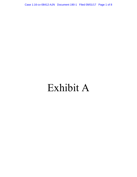Case 1:16-cv-08412-AJN Document 190-1 Filed 09/01/17 Page 1 of 8

# Exhibit A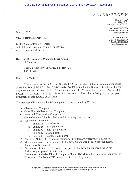## $M$  AYER  $\cdot$  BROWN

Mayer Brown LLP 1999 K Street, N.W. Washington, D.C. 20006-1101

Main Tel +1 202 263 3000 Main Fax +1 202 263 3300 www.mayerbrown.com

Direct Tel +1 202 263 3220 Direct Fax 202 263 5220

Andrew J. Pincus

apincus@mayerbrown.com

June 1, 2017

### **VIA FEDERAL EXPRESS**

United States Attorney General and State and Territory Officials Indentified in the Attached Exhibit A

#### **CAFA Notice of Proposed Class Action** Re: **Settlement**

Ferrick v. Spotify USA Inc., No. 1:16-CV-08412-A.JN

Dear Sir or Madam:

I am counsel to the defendant, Spotify USA Inc., in the putative class action captioned Ferrick v. Spotify USA Inc., No. 1:16-CV-08412-AJN, in the United States District Court for the Southern District of New York. In accordance with the Class Action Fairness Act of 2005 ("CAFA"), 28 U.S.C. § 1715, please find enclosed information relating to the proposed settlement of this putative class action.

The enclosed CD contains the following materials as required by CAFA:

- A. Class Action Complaint;
- B. Consolidated Class Action Complaint;
- C. Amended Class Action Complaint;
- D. Order Granting Joint Stipulation and Amending Case Caption;
- E. Settlement Agreement
	- 1. Exhibit  $A Class Notice$
	- 2. Exhibit  $B -$  Postcard Notice
	- 3. Exhibit C Publication Notice
	- 4. Exhibit  $D Claim Form$
	- 5. Exhibit E Royalty Claim Form
- F. Plaintiffs' Notice of Unopposed Motion for Preliminary Approval of Settlement;
- G. Memorandum of Law in Support of Plaintiffs' Unopposed Motion for Preliminary Approval of Settlement;
- H. Declaration of Steven G. Sklaver in Support of Plaintiffs' Unopposed Motion for Preliminary Approval of Settlement;
- I. Declaration of Marian Dicus in Support of Plaintiffs' Motion for Preliminary Approval of Class Action Settlement RE: Adequacy of Notice Program;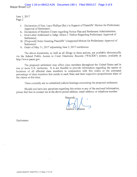June 1, 2017 Page 2

- J. Declaration of Hon. Layn Phillips (Ret.) in Support of Plaintiffs' Motion for Preliminary Approval of Settlement;
- K. Declaration of Stephen Cirami regarding Notice Plan and Settlement Administration;
- L. Joint Letter Addressed to Judge Alison J. Nathan Regarding Preliminary Approval of Settlement:
- M. [Proposed] Order Granting Plaintiffs' Unopposed Motion for Preliminary Approval of Settlement.
- N. Order of May 31, 2017 adjourning June 2, 2017 conference.

The above documents, as well as all filings in these actions, are available electronically via the federal Public Access to Court Electronic Records ("PACER") system, available at http://www.pacer.gov.

The proposed settlement may affect class members throughout the United States and in one or more U.S. territories. It is not feasible to provide information regarding the names or locations of all affected class members in conjunction with this notice or the estimated percentage of class members that reside in each State and their respective proportionate share of the claims at this time.

There currently are no scheduled judicial hearings concerning the proposed settlement.

Should you have any questions regarding this notice or any of the enclosed information, please feel free to contact me at the above postal address, email address, or telephone number.

Sincerely. Andrew J. Pincus

Enclosures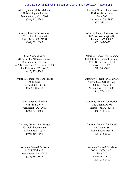#### Case 1:16-cv-08412-AJN Document 190-1 Filed 09/01/17 Page 4 of 8

Attorney General for Alabama 501 Washington Avenue Montgomery, AL 36104 (334) 242-7300

Attorney General for Arkansas 323 Center St., Suite 200 Little Rock, AR 72201 (501) 682-2007

CAFA Coordinator Office of the Attorney General Consumer Law Section 455 Golden Gate Ave., Suite 11000 San Francisco, CA 94102 (415) 703-5500

Attorney General for Connecticut 55 Elm St. Hartford, CT 06106 (860) 808-5318

> Attorney General for DC 441 4th St. NW Washington, DC 20001 (202) 727-3400

Attorney General for Georgia 40 Capitol Square SW Atlanta, GA 30334 (404) 656-3300

Attorney General for Iowa 1305 E Walnut St Des Moines, IA 50319 (515) 281-5126

Attorney General for Alaska 1031 W. 4th Avenue Suite 200 Anchorage, AK 99501 (907) 269-5100

Attorney General for Arizona 1275 W. Washington St. Phoenix, AZ 85007 (602) 542-5025

Attorney General for Colorado Ralph L. Carr Judicial Building 1300 Broadway, 10th Fl Denver, CO 80203 (720) 508-6000

Attorney General for Delaware Carvel State Office Bldg. 820 N. French St. Wilmington, DE 19801 (302) 577-8400

Attorney General for Florida The Capitol PL-01 Tallahassee, FL 32399 (850) 414-3300

Attorney General for Hawaii 425 Queen St. Honolulu, HI 96813 (808) 586-1500

Attorney General for Idaho 700 W. Jefferson St. Suite 210 Boise, ID 83720 (208) 334-2400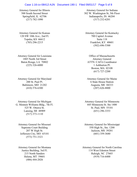#### Case 1:16-cv-08412-AJN Document 190-1 Filed 09/01/17 Page 5 of 8

Attorney General for Illinois 500 South Second Street Springfield, IL 62706 (217) 782-1090

Attorney General for Kansas 120 SW 10th Ave., 2nd Fl. Topeka, KS 66612 (785) 296-2215

Attorney General for Louisiana 1885 North 3rd Street Baton Rouge, LA 70802 (225) 326-6000

Attorney General for Maryland 200 St. Paul Pl. Baltimore, MD 21202 (410) 576-6300

Attorney General for Michigan G. Mennen Williams Bldg., 7th Fl. 525 W. Ottawa St. Lansing, MI 48909 (517) 373-1110

Attorney General for Missouri Supreme Court Building 207 W High St. Jefferson City, MO 65101 (573) 751-3321

Attorney General for Montana Justice Building, 3rd Fl. 215 North Sanders Helena, MT 59601 (406) 444-2026

Attorney General for Indiana 302 W. Washington St, 5th Floor Indianapolis, IN 46204 (317) 232-6201

Attorney General for Kentucky 700 Capitol Avenue Suite 118 Frankfort, KY 40601 (502) 696-5300

Office of Massachusetts Attorney General ATTN: CAFA Coordinator 1 Ashburton Pl. Boston, MA 02108 (617) 727-2200

Attorney General for Maine 6 State House Station Augusta, ME 04333 (207) 626-8800

Attorney General for Minnesota 445 Minnesota St. Ste 1400 St. Paul, MN 55101 (651) 296-3353

Attorney General for Mississippi 550 High St., Ste. 1200 Jackson, MS 39201 (601) 359-3680

Attorney General for North Carolina 114 West Edenton Street Raleigh, NC 27603 (919) 716-6400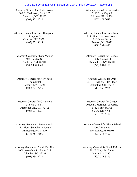#### Case 1:16-cv-08412-AJN Document 190-1 Filed 09/01/17 Page 6 of 8

Attorney General for North Dakota 600 E. Blvd. Ave., Dept. 125 Bismarck, ND 58505 (701) 328-2210

Attorney General for New Hampshire 33 Capitol St. Concord, NH 03301 (603) 271-3658

Attorney General for New Mexico 408 Galisteo St. Santa Fe, NM 87501 (505) 490-4060

Attorney General for New York The Capitol Albany, NY 12224 (800) 771-7755

Attorney General for Oklahoma 313 NE 21st St. Oklahoma City, OK 73105 (405) 521-3921

Attorney General for Pennsylvania 16th Floor, Strawberry Square Harrisburg, PA 17120 (717) 787-3391

Attorney General for South Carolina 1000 Assembly St., Room 519 Columbia, SC 29201 (803) 734-3970

Attorney General for Nebraska 2115 State Capitol Lincoln, NE 68509 (402) 471-2683

Attorney General for New Jersey HJC, 8th Floor, West Wing 25 Market Street Trenton, NJ 08625 (609) 292-4925

Attorney General for Nevada 100 N. Carson St. Carson City, NV 89701 (775) 684-1100

Attorney General for Ohio 30 E. Broad St., 14th Floor Columbus, OH 43215 (614) 466-4986

Attorney General for Oregon Oregon Department of Justice 1162 Court St. NE Salem, OR 97301 (503) 378-4400

Attorney General for Rhode Island 150 S. Main St. Providence, RI 02903 (401) 274-4400

Attorney General for South Dakota 1302 E. Hwy. 14, Suite 1 Pierre, SD 57501 (605) 773-3215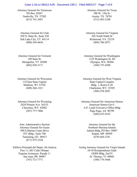#### Case 1:16-cv-08412-AJN Document 190-1 Filed 09/01/17 Page 7 of 8

Attorney General for Tennessee PO Box 20207 Nashville, TN 37202 (615) 741-3491

Attorney General for Utah 350 N. State St., Suite 230 Salt Lake City, UT 84114 (800) 244-4636

Attorney General for Vermont 109 State St. Montpelier, VT 05609 (802) 828-3171

Attorney General for Wisconsin 114 East State Capitol Madison, WI 53702 (608) 266-1221

Attorney General for Wyoming 2424 Pioneer Ave 3rd FL Cheyenne, WY 82002 (307) 777-7886

Attn: Adminstrative Section Attorney General for Guam 590 S.Marine Corps Drive ITC Bldg., Suite 706 Tamuning, GU 96913 (671) 475-3324

Edificio Principal del Depto. De Justicia Piso 11, 601 Calle Olimpo Esquina Axtmayer, Parada 11 San Juan, PR 00907 (787) 721-7771

Attorney General for Texas 300 W. 15th St. Austin, TX 78701 (512) 463-2100

Attorney General for Virginia 202 North Ninth St Richmond, VA 23219 (804) 786-2071

Attorney General for Washington 1125 Washington St. SE Olympia, WA 98504 (360) 753-6200

Attorney General for West Virginia State Capitol Complex Bldg. 1, Room E-26 Charleston, WV 25305 (304) 558-2021

Attorney General for American Samoa American Samoa Gov't. A.P. Lutali Executive Office Bldg Pago Pago, AS 96799 (684) 633-4163

> Attorney General for the Northern Mariana Islands Admin Bldg, PO Box 10007 Saipan, MP 96950 (670) 664-2341

Acting Attorney General for Virgin Islands 34-38 Kronprindsens Gade GERS Bldg, 2nd Fl St. Thomas, VI 00802 (340) 774-5666